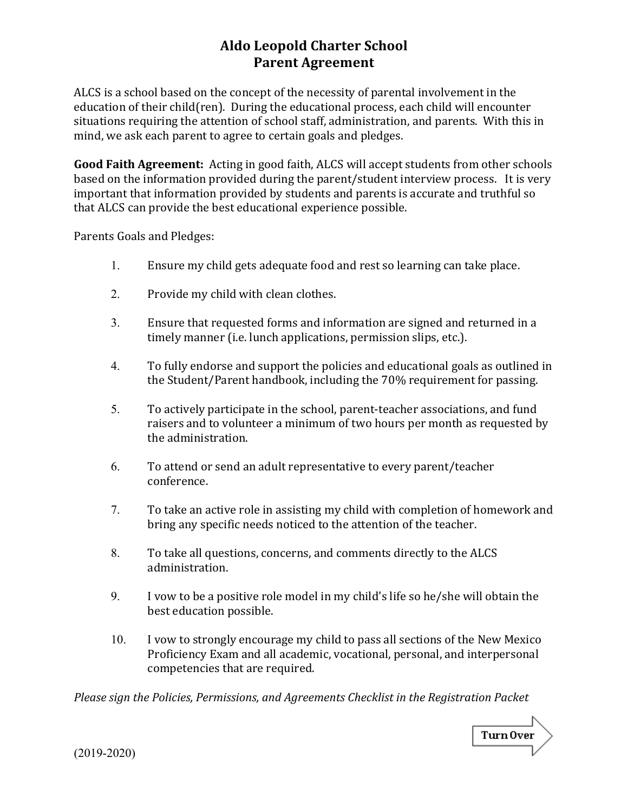## **Aldo Leopold Charter School Parent Agreement**

ALCS is a school based on the concept of the necessity of parental involvement in the education of their child(ren). During the educational process, each child will encounter situations requiring the attention of school staff, administration, and parents. With this in mind, we ask each parent to agree to certain goals and pledges.

**Good Faith Agreement:** Acting in good faith, ALCS will accept students from other schools based on the information provided during the parent/student interview process. It is very important that information provided by students and parents is accurate and truthful so that ALCS can provide the best educational experience possible.

Parents Goals and Pledges:

- 1. Ensure my child gets adequate food and rest so learning can take place.
- 2. Provide my child with clean clothes.
- 3. Ensure that requested forms and information are signed and returned in a timely manner (i.e. lunch applications, permission slips, etc.).
- 4. To fully endorse and support the policies and educational goals as outlined in the Student/Parent handbook, including the 70% requirement for passing.
- 5. To actively participate in the school, parent-teacher associations, and fund raisers and to volunteer a minimum of two hours per month as requested by the administration.
- 6. To attend or send an adult representative to every parent/teacher conference.
- 7. To take an active role in assisting my child with completion of homework and bring any specific needs noticed to the attention of the teacher.
- 8. To take all questions, concerns, and comments directly to the ALCS administration.
- 9. I vow to be a positive role model in my child's life so he/she will obtain the best education possible.
- 10. I vow to strongly encourage my child to pass all sections of the New Mexico Proficiency Exam and all academic, vocational, personal, and interpersonal competencies that are required.

*Please sign the Policies, Permissions, and Agreements Checklist in the Registration Packet* 



(2019-2020)